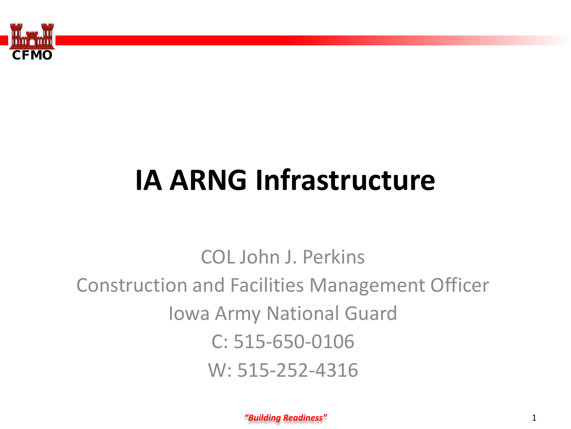

# **IA ARNG Infrastructure**

COL John J. Perkins Construction and Facilities Management Officer Iowa Army National Guard C: 515-650-0106 W: 515-252-4316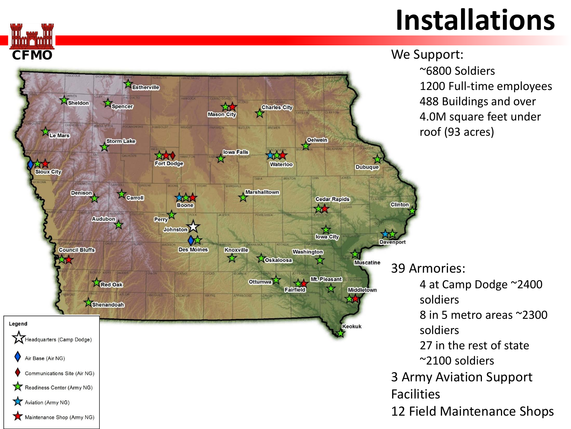## **Installations**

We Support: ~6800 Soldiers 1200 Full -time employees 488 Buildings and over 4.0M square feet under roof (93 acres)

39 Armories: 4 at Camp Dodge ~2400 soldiers 8 in 5 metro areas ~2300 soldiers 27 in the rest of state ~2100 soldiers 3 Army Aviation Support Facilities 12 Field Maintenance Shops

Asheldon Aspencer **Charles City** Mason City ☆ The Mars Storm Lake Oelwein **Iowa Falls** And TOAT ኔኛ **Fort Dodge** Waterloo Sioux City **Dubuque Marshalltown Denison X** Carroll total 73 **Cedar Rapids Boone Clinton**  $\mathcal{L}$ Audubon Perry<sup>2</sup>  $\sum_{\text{lowa City}}$ Johnston A **Davenport Council Bluffs Des Moines Knoxville Washington**  $\tau$ 怂人 **ZOskaloosa Muscatine** Mt. Pleasant **X** Red Oak **Ottumwa** Fairfield **Middletown** Shenandoah Legend Keokuk leadquarters (Camp Dodge) Air Base (Air NG) Communications Site (Air NG) Readiness Center (Army NG) Aviation (Army NG) Maintenance Shop (Army NG)

Estherville

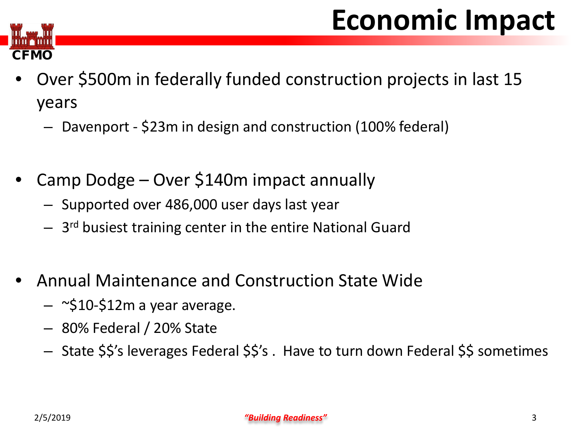## **Economic Impact**



- Over \$500m in federally funded construction projects in last 15 years
	- Davenport \$23m in design and construction (100% federal)
- Camp Dodge Over \$140m impact annually
	- Supported over 486,000 user days last year
	- 3rd busiest training center in the entire National Guard
- Annual Maintenance and Construction State Wide
	- $-$  ~\$10-\$12m a year average.
	- 80% Federal / 20% State
	- State \$\$'s leverages Federal \$\$'s . Have to turn down Federal \$\$ sometimes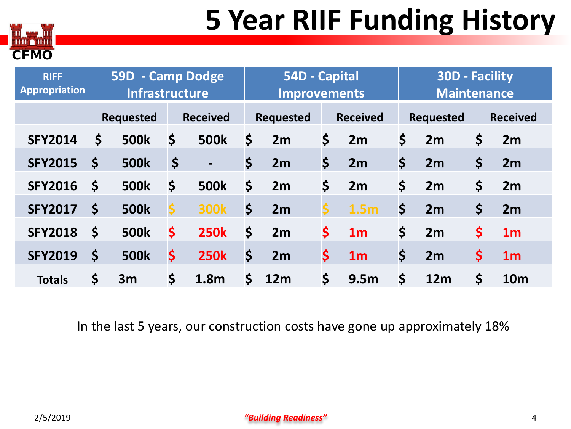## **5 Year RIIF Funding History**



| <b>RIFF</b><br><b>Appropriation</b> |                      | 59D - Camp Dodge<br><b>Infrastructure</b> |                 |                |                       | 54D - Capital<br><b>Improvements</b> |                       |                  |                  | <b>30D - Facility</b><br><b>Maintenance</b> |                 |                |  |
|-------------------------------------|----------------------|-------------------------------------------|-----------------|----------------|-----------------------|--------------------------------------|-----------------------|------------------|------------------|---------------------------------------------|-----------------|----------------|--|
|                                     | <b>Requested</b>     |                                           | <b>Received</b> |                | <b>Requested</b>      |                                      | <b>Received</b>       |                  | <b>Requested</b> |                                             | <b>Received</b> |                |  |
| <b>SFY2014</b>                      | \$                   | <b>500k</b>                               | \$              | <b>500k</b>    | \$                    | 2m                                   | \$                    | 2m               | \$               | 2m                                          | \$              | 2m             |  |
| <b>SFY2015</b>                      | \$                   | <b>500k</b>                               | \$              | $\blacksquare$ | \$                    | 2m                                   | $\boldsymbol{\zeta}$  | 2m               | \$               | 2m                                          | \$              | 2m             |  |
| <b>SFY2016</b>                      | \$                   | <b>500k</b>                               | \$              | <b>500k</b>    | \$                    | 2m                                   | \$                    | 2m               | \$               | 2m                                          | \$              | 2m             |  |
| <b>SFY2017</b>                      | \$                   | <b>500k</b>                               |                 | <b>300k</b>    | \$                    | 2m                                   | \$                    | 1.5 <sub>m</sub> | \$               | 2m                                          | \$              | 2m             |  |
| <b>SFY2018</b>                      | $\boldsymbol{\zeta}$ | <b>500k</b>                               | \$              | <b>250k</b>    | \$                    | 2m                                   | \$                    | 1 <sub>m</sub>   | \$               | 2m                                          | \$              | 1 <sub>m</sub> |  |
| <b>SFY2019</b>                      | \$                   | <b>500k</b>                               | \$              | <b>250k</b>    | $\mathsf{\mathsf{S}}$ | 2m                                   | \$                    | 1 <sub>m</sub>   | \$               | 2m                                          | \$              | 1 <sub>m</sub> |  |
| <b>Totals</b>                       | \$                   | 3m                                        | \$              | 1.8m           | $\mathsf{\mathsf{S}}$ | 12m                                  | $\mathsf{\mathsf{S}}$ | 9.5 <sub>m</sub> | \$               | 12m                                         | \$              | <b>10m</b>     |  |

In the last 5 years, our construction costs have gone up approximately 18%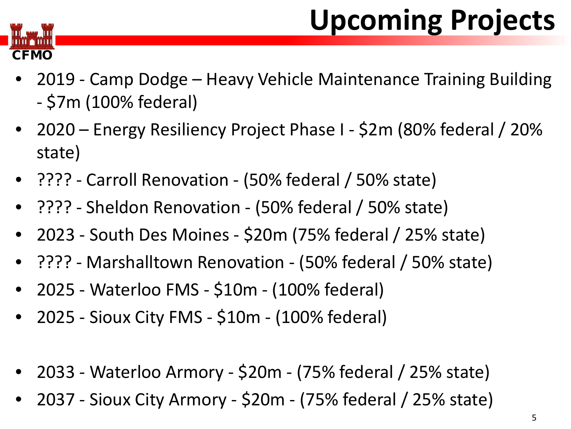# **Upcoming Projects**



- 2019 Camp Dodge Heavy Vehicle Maintenance Training Building - \$7m (100% federal)
- 2020 Energy Resiliency Project Phase I \$2m (80% federal / 20% state)
- ???? Carroll Renovation (50% federal / 50% state)
- ???? Sheldon Renovation (50% federal / 50% state)
- 2023 South Des Moines \$20m (75% federal / 25% state)
- ???? Marshalltown Renovation (50% federal / 50% state)
- 2025 Waterloo FMS \$10m (100% federal)
- 2025 Sioux City FMS \$10m (100% federal)
- 2033 Waterloo Armory \$20m (75% federal / 25% state)
- 2037 Sioux City Armory \$20m (75% federal / 25% state)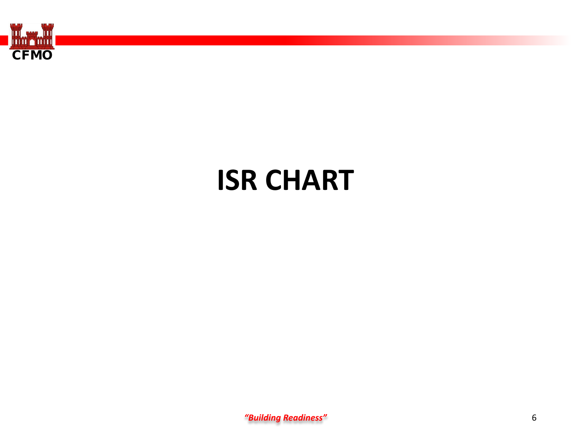

#### **ISR CHART**